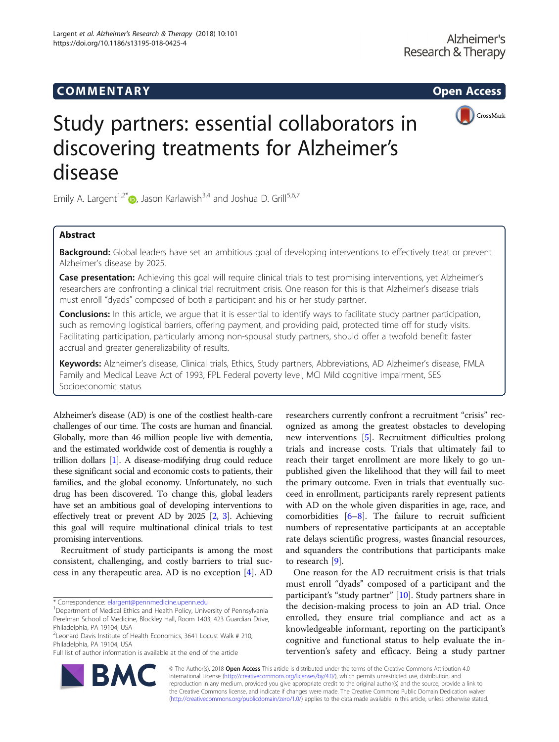## COMM EN TARY Open Access



# Study partners: essential collaborators in discovering treatments for Alzheimer's disease

Emily A. Largent<sup>1,2\*</sup>  $\bullet$ , Jason Karlawish<sup>3,4</sup> and Joshua D. Grill<sup>5,6,7</sup>

## Abstract

Background: Global leaders have set an ambitious goal of developing interventions to effectively treat or prevent Alzheimer's disease by 2025.

Case presentation: Achieving this goal will require clinical trials to test promising interventions, yet Alzheimer's researchers are confronting a clinical trial recruitment crisis. One reason for this is that Alzheimer's disease trials must enroll "dyads" composed of both a participant and his or her study partner.

Conclusions: In this article, we argue that it is essential to identify ways to facilitate study partner participation, such as removing logistical barriers, offering payment, and providing paid, protected time off for study visits. Facilitating participation, particularly among non-spousal study partners, should offer a twofold benefit: faster accrual and greater generalizability of results.

Keywords: Alzheimer's disease, Clinical trials, Ethics, Study partners, Abbreviations, AD Alzheimer's disease, FMLA Family and Medical Leave Act of 1993, FPL Federal poverty level, MCI Mild cognitive impairment, SES Socioeconomic status

Alzheimer's disease (AD) is one of the costliest health-care challenges of our time. The costs are human and financial. Globally, more than 46 million people live with dementia, and the estimated worldwide cost of dementia is roughly a trillion dollars [\[1\]](#page-5-0). A disease-modifying drug could reduce these significant social and economic costs to patients, their families, and the global economy. Unfortunately, no such drug has been discovered. To change this, global leaders have set an ambitious goal of developing interventions to effectively treat or prevent AD by 2025 [\[2,](#page-5-0) [3\]](#page-5-0). Achieving this goal will require multinational clinical trials to test promising interventions.

Recruitment of study participants is among the most consistent, challenging, and costly barriers to trial success in any therapeutic area. AD is no exception [[4\]](#page-5-0). AD

\* Correspondence: [elargent@pennmedicine.upenn.edu](mailto:elargent@pennmedicine.upenn.edu) <sup>1</sup>

Full list of author information is available at the end of the article



One reason for the AD recruitment crisis is that trials must enroll "dyads" composed of a participant and the participant's "study partner" [\[10\]](#page-5-0). Study partners share in the decision-making process to join an AD trial. Once enrolled, they ensure trial compliance and act as a knowledgeable informant, reporting on the participant's cognitive and functional status to help evaluate the intervention's safety and efficacy. Being a study partner



© The Author(s). 2018 Open Access This article is distributed under the terms of the Creative Commons Attribution 4.0 International License [\(http://creativecommons.org/licenses/by/4.0/](http://creativecommons.org/licenses/by/4.0/)), which permits unrestricted use, distribution, and reproduction in any medium, provided you give appropriate credit to the original author(s) and the source, provide a link to the Creative Commons license, and indicate if changes were made. The Creative Commons Public Domain Dedication waiver [\(http://creativecommons.org/publicdomain/zero/1.0/](http://creativecommons.org/publicdomain/zero/1.0/)) applies to the data made available in this article, unless otherwise stated.

<sup>&</sup>lt;sup>1</sup>Department of Medical Ethics and Health Policy, University of Pennsylvania Perelman School of Medicine, Blockley Hall, Room 1403, 423 Guardian Drive, Philadelphia, PA 19104, USA

<sup>&</sup>lt;sup>2</sup> Leonard Davis Institute of Health Economics, 3641 Locust Walk # 210, Philadelphia, PA 19104, USA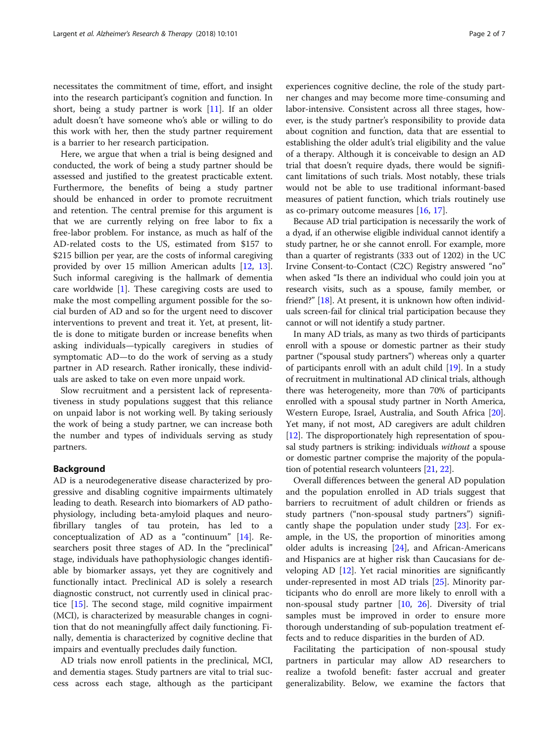necessitates the commitment of time, effort, and insight into the research participant's cognition and function. In short, being a study partner is work [[11](#page-5-0)]. If an older adult doesn't have someone who's able or willing to do this work with her, then the study partner requirement is a barrier to her research participation.

Here, we argue that when a trial is being designed and conducted, the work of being a study partner should be assessed and justified to the greatest practicable extent. Furthermore, the benefits of being a study partner should be enhanced in order to promote recruitment and retention. The central premise for this argument is that we are currently relying on free labor to fix a free-labor problem. For instance, as much as half of the AD-related costs to the US, estimated from \$157 to \$215 billion per year, are the costs of informal caregiving provided by over 15 million American adults [[12,](#page-5-0) [13](#page-5-0)]. Such informal caregiving is the hallmark of dementia care worldwide [\[1\]](#page-5-0). These caregiving costs are used to make the most compelling argument possible for the social burden of AD and so for the urgent need to discover interventions to prevent and treat it. Yet, at present, little is done to mitigate burden or increase benefits when asking individuals—typically caregivers in studies of symptomatic AD—to do the work of serving as a study partner in AD research. Rather ironically, these individuals are asked to take on even more unpaid work.

Slow recruitment and a persistent lack of representativeness in study populations suggest that this reliance on unpaid labor is not working well. By taking seriously the work of being a study partner, we can increase both the number and types of individuals serving as study partners.

## Background

AD is a neurodegenerative disease characterized by progressive and disabling cognitive impairments ultimately leading to death. Research into biomarkers of AD pathophysiology, including beta-amyloid plaques and neurofibrillary tangles of tau protein, has led to a conceptualization of AD as a "continuum" [\[14](#page-5-0)]. Researchers posit three stages of AD. In the "preclinical" stage, individuals have pathophysiologic changes identifiable by biomarker assays, yet they are cognitively and functionally intact. Preclinical AD is solely a research diagnostic construct, not currently used in clinical practice [[15\]](#page-5-0). The second stage, mild cognitive impairment (MCI), is characterized by measurable changes in cognition that do not meaningfully affect daily functioning. Finally, dementia is characterized by cognitive decline that impairs and eventually precludes daily function.

AD trials now enroll patients in the preclinical, MCI, and dementia stages. Study partners are vital to trial success across each stage, although as the participant

experiences cognitive decline, the role of the study partner changes and may become more time-consuming and labor-intensive. Consistent across all three stages, however, is the study partner's responsibility to provide data about cognition and function, data that are essential to establishing the older adult's trial eligibility and the value of a therapy. Although it is conceivable to design an AD trial that doesn't require dyads, there would be significant limitations of such trials. Most notably, these trials would not be able to use traditional informant-based measures of patient function, which trials routinely use as co-primary outcome measures [[16,](#page-5-0) [17\]](#page-5-0).

Because AD trial participation is necessarily the work of a dyad, if an otherwise eligible individual cannot identify a study partner, he or she cannot enroll. For example, more than a quarter of registrants (333 out of 1202) in the UC Irvine Consent-to-Contact (C2C) Registry answered "no" when asked "Is there an individual who could join you at research visits, such as a spouse, family member, or friend?" [\[18](#page-5-0)]. At present, it is unknown how often individuals screen-fail for clinical trial participation because they cannot or will not identify a study partner.

In many AD trials, as many as two thirds of participants enroll with a spouse or domestic partner as their study partner ("spousal study partners") whereas only a quarter of participants enroll with an adult child [\[19](#page-5-0)]. In a study of recruitment in multinational AD clinical trials, although there was heterogeneity, more than 70% of participants enrolled with a spousal study partner in North America, Western Europe, Israel, Australia, and South Africa [[20](#page-5-0)]. Yet many, if not most, AD caregivers are adult children [[12](#page-5-0)]. The disproportionately high representation of spousal study partners is striking: individuals without a spouse or domestic partner comprise the majority of the population of potential research volunteers [[21](#page-5-0), [22\]](#page-5-0).

Overall differences between the general AD population and the population enrolled in AD trials suggest that barriers to recruitment of adult children or friends as study partners ("non-spousal study partners") significantly shape the population under study [\[23\]](#page-5-0). For example, in the US, the proportion of minorities among older adults is increasing  $[24]$  $[24]$ , and African-Americans and Hispanics are at higher risk than Caucasians for developing AD [[12](#page-5-0)]. Yet racial minorities are significantly under-represented in most AD trials [[25](#page-6-0)]. Minority participants who do enroll are more likely to enroll with a non-spousal study partner [\[10](#page-5-0), [26\]](#page-6-0). Diversity of trial samples must be improved in order to ensure more thorough understanding of sub-population treatment effects and to reduce disparities in the burden of AD.

Facilitating the participation of non-spousal study partners in particular may allow AD researchers to realize a twofold benefit: faster accrual and greater generalizability. Below, we examine the factors that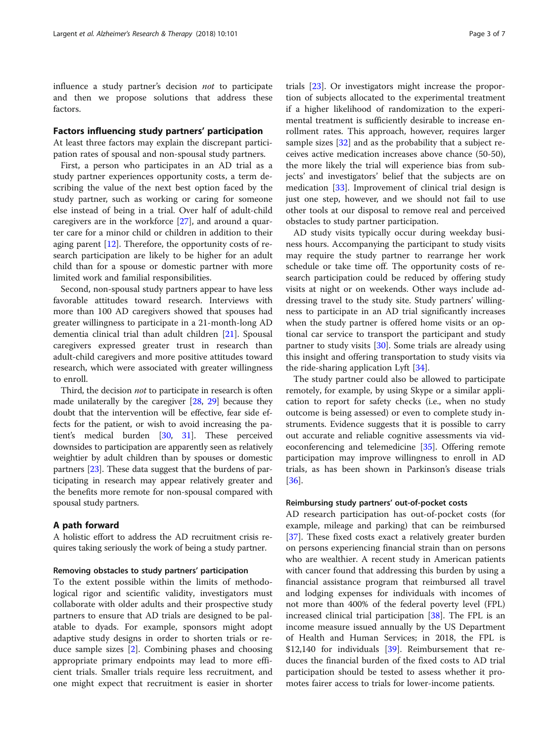## Factors influencing study partners' participation

At least three factors may explain the discrepant participation rates of spousal and non-spousal study partners.

First, a person who participates in an AD trial as a study partner experiences opportunity costs, a term describing the value of the next best option faced by the study partner, such as working or caring for someone else instead of being in a trial. Over half of adult-child caregivers are in the workforce [\[27](#page-6-0)], and around a quarter care for a minor child or children in addition to their aging parent  $[12]$  $[12]$ . Therefore, the opportunity costs of research participation are likely to be higher for an adult child than for a spouse or domestic partner with more limited work and familial responsibilities.

Second, non-spousal study partners appear to have less favorable attitudes toward research. Interviews with more than 100 AD caregivers showed that spouses had greater willingness to participate in a 21-month-long AD dementia clinical trial than adult children [[21\]](#page-5-0). Spousal caregivers expressed greater trust in research than adult-child caregivers and more positive attitudes toward research, which were associated with greater willingness to enroll.

Third, the decision *not* to participate in research is often made unilaterally by the caregiver [\[28,](#page-6-0) [29\]](#page-6-0) because they doubt that the intervention will be effective, fear side effects for the patient, or wish to avoid increasing the patient's medical burden [\[30](#page-6-0), [31\]](#page-6-0). These perceived downsides to participation are apparently seen as relatively weightier by adult children than by spouses or domestic partners [\[23\]](#page-5-0). These data suggest that the burdens of participating in research may appear relatively greater and the benefits more remote for non-spousal compared with spousal study partners.

## A path forward

A holistic effort to address the AD recruitment crisis requires taking seriously the work of being a study partner.

#### Removing obstacles to study partners' participation

To the extent possible within the limits of methodological rigor and scientific validity, investigators must collaborate with older adults and their prospective study partners to ensure that AD trials are designed to be palatable to dyads. For example, sponsors might adopt adaptive study designs in order to shorten trials or reduce sample sizes [\[2](#page-5-0)]. Combining phases and choosing appropriate primary endpoints may lead to more efficient trials. Smaller trials require less recruitment, and one might expect that recruitment is easier in shorter

trials [[23](#page-5-0)]. Or investigators might increase the proportion of subjects allocated to the experimental treatment if a higher likelihood of randomization to the experimental treatment is sufficiently desirable to increase enrollment rates. This approach, however, requires larger sample sizes [\[32\]](#page-6-0) and as the probability that a subject receives active medication increases above chance (50-50), the more likely the trial will experience bias from subjects' and investigators' belief that the subjects are on medication [\[33](#page-6-0)]. Improvement of clinical trial design is just one step, however, and we should not fail to use other tools at our disposal to remove real and perceived obstacles to study partner participation.

AD study visits typically occur during weekday business hours. Accompanying the participant to study visits may require the study partner to rearrange her work schedule or take time off. The opportunity costs of research participation could be reduced by offering study visits at night or on weekends. Other ways include addressing travel to the study site. Study partners' willingness to participate in an AD trial significantly increases when the study partner is offered home visits or an optional car service to transport the participant and study partner to study visits [\[30](#page-6-0)]. Some trials are already using this insight and offering transportation to study visits via the ride-sharing application Lyft  $[34]$  $[34]$ .

The study partner could also be allowed to participate remotely, for example, by using Skype or a similar application to report for safety checks (i.e., when no study outcome is being assessed) or even to complete study instruments. Evidence suggests that it is possible to carry out accurate and reliable cognitive assessments via videoconferencing and telemedicine [[35\]](#page-6-0). Offering remote participation may improve willingness to enroll in AD trials, as has been shown in Parkinson's disease trials [[36\]](#page-6-0).

## Reimbursing study partners' out-of-pocket costs

AD research participation has out-of-pocket costs (for example, mileage and parking) that can be reimbursed [[37\]](#page-6-0). These fixed costs exact a relatively greater burden on persons experiencing financial strain than on persons who are wealthier. A recent study in American patients with cancer found that addressing this burden by using a financial assistance program that reimbursed all travel and lodging expenses for individuals with incomes of not more than 400% of the federal poverty level (FPL) increased clinical trial participation [\[38\]](#page-6-0). The FPL is an income measure issued annually by the US Department of Health and Human Services; in 2018, the FPL is \$12,140 for individuals [\[39\]](#page-6-0). Reimbursement that reduces the financial burden of the fixed costs to AD trial participation should be tested to assess whether it promotes fairer access to trials for lower-income patients.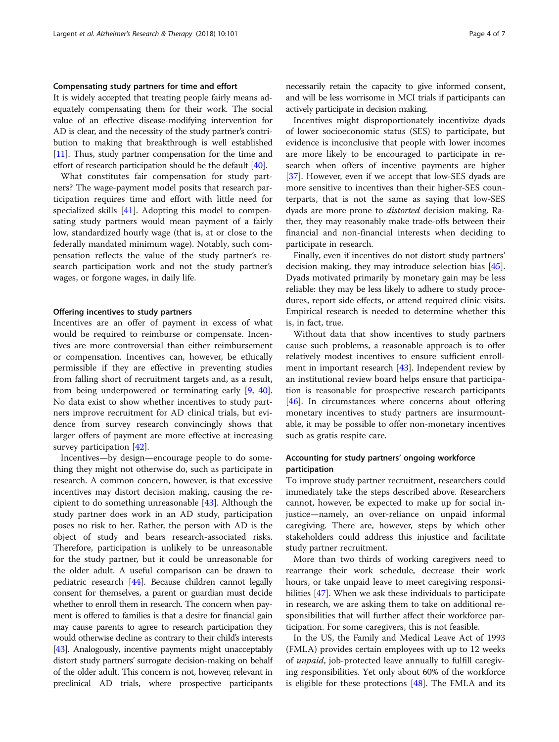## Compensating study partners for time and effort

It is widely accepted that treating people fairly means adequately compensating them for their work. The social value of an effective disease-modifying intervention for AD is clear, and the necessity of the study partner's contribution to making that breakthrough is well established [[11](#page-5-0)]. Thus, study partner compensation for the time and effort of research participation should be the default [\[40\]](#page-6-0).

What constitutes fair compensation for study partners? The wage-payment model posits that research participation requires time and effort with little need for specialized skills [[41\]](#page-6-0). Adopting this model to compensating study partners would mean payment of a fairly low, standardized hourly wage (that is, at or close to the federally mandated minimum wage). Notably, such compensation reflects the value of the study partner's research participation work and not the study partner's wages, or forgone wages, in daily life.

## Offering incentives to study partners

Incentives are an offer of payment in excess of what would be required to reimburse or compensate. Incentives are more controversial than either reimbursement or compensation. Incentives can, however, be ethically permissible if they are effective in preventing studies from falling short of recruitment targets and, as a result, from being underpowered or terminating early [[9,](#page-5-0) [40](#page-6-0)]. No data exist to show whether incentives to study partners improve recruitment for AD clinical trials, but evidence from survey research convincingly shows that larger offers of payment are more effective at increasing survey participation [[42\]](#page-6-0).

Incentives—by design—encourage people to do something they might not otherwise do, such as participate in research. A common concern, however, is that excessive incentives may distort decision making, causing the recipient to do something unreasonable [[43\]](#page-6-0). Although the study partner does work in an AD study, participation poses no risk to her. Rather, the person with AD is the object of study and bears research-associated risks. Therefore, participation is unlikely to be unreasonable for the study partner, but it could be unreasonable for the older adult. A useful comparison can be drawn to pediatric research [\[44](#page-6-0)]. Because children cannot legally consent for themselves, a parent or guardian must decide whether to enroll them in research. The concern when payment is offered to families is that a desire for financial gain may cause parents to agree to research participation they would otherwise decline as contrary to their child's interests [[43](#page-6-0)]. Analogously, incentive payments might unacceptably distort study partners' surrogate decision-making on behalf of the older adult. This concern is not, however, relevant in preclinical AD trials, where prospective participants

necessarily retain the capacity to give informed consent, and will be less worrisome in MCI trials if participants can actively participate in decision making.

Incentives might disproportionately incentivize dyads of lower socioeconomic status (SES) to participate, but evidence is inconclusive that people with lower incomes are more likely to be encouraged to participate in research when offers of incentive payments are higher [[37\]](#page-6-0). However, even if we accept that low-SES dyads are more sensitive to incentives than their higher-SES counterparts, that is not the same as saying that low-SES dyads are more prone to *distorted* decision making. Rather, they may reasonably make trade-offs between their financial and non-financial interests when deciding to participate in research.

Finally, even if incentives do not distort study partners' decision making, they may introduce selection bias [\[45](#page-6-0)]. Dyads motivated primarily by monetary gain may be less reliable: they may be less likely to adhere to study procedures, report side effects, or attend required clinic visits. Empirical research is needed to determine whether this is, in fact, true.

Without data that show incentives to study partners cause such problems, a reasonable approach is to offer relatively modest incentives to ensure sufficient enrollment in important research [[43](#page-6-0)]. Independent review by an institutional review board helps ensure that participation is reasonable for prospective research participants [[46\]](#page-6-0). In circumstances where concerns about offering monetary incentives to study partners are insurmountable, it may be possible to offer non-monetary incentives such as gratis respite care.

## Accounting for study partners' ongoing workforce participation

To improve study partner recruitment, researchers could immediately take the steps described above. Researchers cannot, however, be expected to make up for social injustice—namely, an over-reliance on unpaid informal caregiving. There are, however, steps by which other stakeholders could address this injustice and facilitate study partner recruitment.

More than two thirds of working caregivers need to rearrange their work schedule, decrease their work hours, or take unpaid leave to meet caregiving responsibilities [\[47](#page-6-0)]. When we ask these individuals to participate in research, we are asking them to take on additional responsibilities that will further affect their workforce participation. For some caregivers, this is not feasible.

In the US, the Family and Medical Leave Act of 1993 (FMLA) provides certain employees with up to 12 weeks of unpaid, job-protected leave annually to fulfill caregiving responsibilities. Yet only about 60% of the workforce is eligible for these protections  $[48]$  $[48]$  $[48]$ . The FMLA and its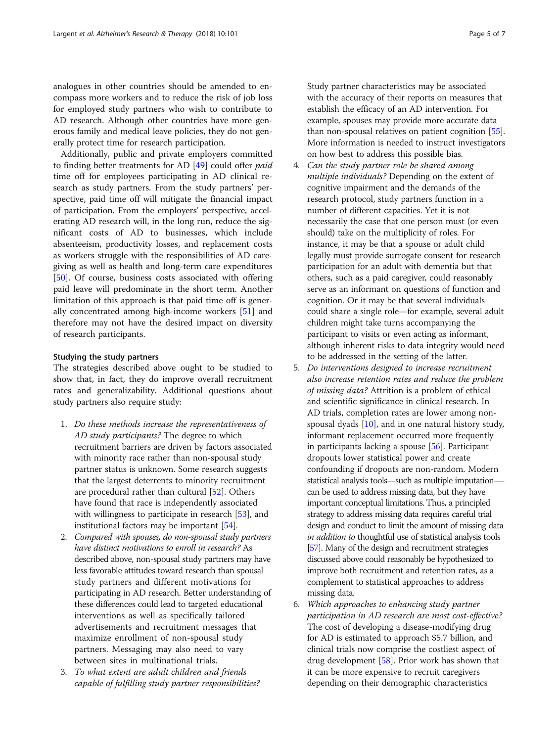analogues in other countries should be amended to encompass more workers and to reduce the risk of job loss for employed study partners who wish to contribute to AD research. Although other countries have more generous family and medical leave policies, they do not generally protect time for research participation.

Additionally, public and private employers committed to finding better treatments for AD [[49](#page-6-0)] could offer paid time off for employees participating in AD clinical research as study partners. From the study partners' perspective, paid time off will mitigate the financial impact of participation. From the employers' perspective, accelerating AD research will, in the long run, reduce the significant costs of AD to businesses, which include absenteeism, productivity losses, and replacement costs as workers struggle with the responsibilities of AD caregiving as well as health and long-term care expenditures [[50\]](#page-6-0). Of course, business costs associated with offering paid leave will predominate in the short term. Another limitation of this approach is that paid time off is generally concentrated among high-income workers [[51](#page-6-0)] and therefore may not have the desired impact on diversity of research participants.

## Studying the study partners

The strategies described above ought to be studied to show that, in fact, they do improve overall recruitment rates and generalizability. Additional questions about study partners also require study:

- 1. Do these methods increase the representativeness of AD study participants? The degree to which recruitment barriers are driven by factors associated with minority race rather than non-spousal study partner status is unknown. Some research suggests that the largest deterrents to minority recruitment are procedural rather than cultural [\[52\]](#page-6-0). Others have found that race is independently associated with willingness to participate in research [\[53](#page-6-0)], and institutional factors may be important [[54](#page-6-0)].
- 2. Compared with spouses, do non-spousal study partners have distinct motivations to enroll in research? As described above, non-spousal study partners may have less favorable attitudes toward research than spousal study partners and different motivations for participating in AD research. Better understanding of these differences could lead to targeted educational interventions as well as specifically tailored advertisements and recruitment messages that maximize enrollment of non-spousal study partners. Messaging may also need to vary between sites in multinational trials.
- 3. To what extent are adult children and friends capable of fulfilling study partner responsibilities?

Study partner characteristics may be associated with the accuracy of their reports on measures that establish the efficacy of an AD intervention. For example, spouses may provide more accurate data than non-spousal relatives on patient cognition [[55](#page-6-0)]. More information is needed to instruct investigators on how best to address this possible bias.

- 4. Can the study partner role be shared among multiple individuals? Depending on the extent of cognitive impairment and the demands of the research protocol, study partners function in a number of different capacities. Yet it is not necessarily the case that one person must (or even should) take on the multiplicity of roles. For instance, it may be that a spouse or adult child legally must provide surrogate consent for research participation for an adult with dementia but that others, such as a paid caregiver, could reasonably serve as an informant on questions of function and cognition. Or it may be that several individuals could share a single role—for example, several adult children might take turns accompanying the participant to visits or even acting as informant, although inherent risks to data integrity would need to be addressed in the setting of the latter.
- 5. Do interventions designed to increase recruitment also increase retention rates and reduce the problem of missing data? Attrition is a problem of ethical and scientific significance in clinical research. In AD trials, completion rates are lower among nonspousal dyads [\[10](#page-5-0)], and in one natural history study, informant replacement occurred more frequently in participants lacking a spouse [[56](#page-6-0)]. Participant dropouts lower statistical power and create confounding if dropouts are non-random. Modern statistical analysis tools—such as multiple imputation— can be used to address missing data, but they have important conceptual limitations. Thus, a principled strategy to address missing data requires careful trial design and conduct to limit the amount of missing data in addition to thoughtful use of statistical analysis tools [\[57](#page-6-0)]. Many of the design and recruitment strategies discussed above could reasonably be hypothesized to improve both recruitment and retention rates, as a complement to statistical approaches to address missing data.
- 6. Which approaches to enhancing study partner participation in AD research are most cost-effective? The cost of developing a disease-modifying drug for AD is estimated to approach \$5.7 billion, and clinical trials now comprise the costliest aspect of drug development [[58](#page-6-0)]. Prior work has shown that it can be more expensive to recruit caregivers depending on their demographic characteristics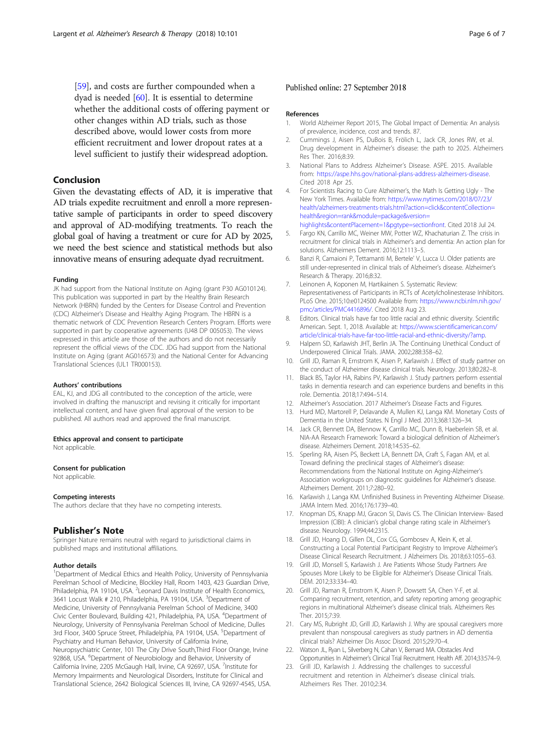<span id="page-5-0"></span>[\[59](#page-6-0)], and costs are further compounded when a dyad is needed [[60](#page-6-0)]. It is essential to determine whether the additional costs of offering payment or other changes within AD trials, such as those described above, would lower costs from more efficient recruitment and lower dropout rates at a level sufficient to justify their widespread adoption.

## Conclusion

Given the devastating effects of AD, it is imperative that AD trials expedite recruitment and enroll a more representative sample of participants in order to speed discovery and approval of AD-modifying treatments. To reach the global goal of having a treatment or cure for AD by 2025, we need the best science and statistical methods but also innovative means of ensuring adequate dyad recruitment.

## Funding

JK had support from the National Institute on Aging (grant P30 AG010124). This publication was supported in part by the Healthy Brain Research Network (HBRN) funded by the Centers for Disease Control and Prevention (CDC) Alzheimer's Disease and Healthy Aging Program. The HBRN is a thematic network of CDC Prevention Research Centers Program. Efforts were supported in part by cooperative agreements (U48 DP 005053). The views expressed in this article are those of the authors and do not necessarily represent the official views of the CDC. JDG had support from the National Institute on Aging (grant AG016573) and the National Center for Advancing Translational Sciences (UL1 TR000153).

#### Authors' contributions

EAL, KJ, and JDG all contributed to the conception of the article, were involved in drafting the manuscript and revising it critically for important intellectual content, and have given final approval of the version to be published. All authors read and approved the final manuscript.

#### Ethics approval and consent to participate

Not applicable.

#### Consent for publication

Not applicable.

## Competing interests

The authors declare that they have no competing interests.

## Publisher's Note

Springer Nature remains neutral with regard to jurisdictional claims in published maps and institutional affiliations.

#### Author details

<sup>1</sup>Department of Medical Ethics and Health Policy, University of Pennsylvania Perelman School of Medicine, Blockley Hall, Room 1403, 423 Guardian Drive, Philadelphia, PA 19104, USA. <sup>2</sup> Leonard Davis Institute of Health Economics, 3641 Locust Walk # 210, Philadelphia, PA 19104, USA. <sup>3</sup>Department of Medicine, University of Pennsylvania Perelman School of Medicine, 3400 Civic Center Boulevard, Building 421, Philadelphia, PA, USA. <sup>4</sup>Department of Neurology, University of Pennsylvania Perelman School of Medicine, Dulles 3rd Floor, 3400 Spruce Street, Philadelphia, PA 19104, USA. <sup>5</sup>Department of Psychiatry and Human Behavior, University of California Irvine, Neuropsychiatric Center, 101 The City Drive South,Third Floor Orange, Irvine 92868, USA. <sup>6</sup>Department of Neurobiology and Behavior, University of California Irvine, 2205 McGaugh Hall, Irvine, CA 92697, USA. <sup>7</sup>Institute for Memory Impairments and Neurological Disorders, Institute for Clinical and Translational Science, 2642 Biological Sciences III, Irvine, CA 92697-4545, USA.

### References

- 1. World Alzheimer Report 2015, The Global Impact of Dementia: An analysis of prevalence, incidence, cost and trends. 87.
- 2. Cummings J, Aisen PS, DuBois B, Frölich L, Jack CR, Jones RW, et al. Drug development in Alzheimer's disease: the path to 2025. Alzheimers Res Ther. 2016;8:39.
- 3. National Plans to Address Alzheimer's Disease. ASPE. 2015. Available from: <https://aspe.hhs.gov/national-plans-address-alzheimers-disease>. Cited 2018 Apr 25.
- 4. For Scientists Racing to Cure Alzheimer's, the Math Is Getting Ugly The New York Times. Available from: [https://www.nytimes.com/2018/07/23/](https://www.nytimes.com/2018/07/23/health/alzheimers-treatments-trials.html?action=click&contentCollection=health®ion=rank&module=package&version=highlights&contentPlacement=1&pgtype=sectionfront) [health/alzheimers-treatments-trials.html?action=click&contentCollection=](https://www.nytimes.com/2018/07/23/health/alzheimers-treatments-trials.html?action=click&contentCollection=health®ion=rank&module=package&version=highlights&contentPlacement=1&pgtype=sectionfront) [health&region=rank&module=package&version=](https://www.nytimes.com/2018/07/23/health/alzheimers-treatments-trials.html?action=click&contentCollection=health®ion=rank&module=package&version=highlights&contentPlacement=1&pgtype=sectionfront)
- [highlights&contentPlacement=1&pgtype=sectionfront](https://www.nytimes.com/2018/07/23/health/alzheimers-treatments-trials.html?action=click&contentCollection=health®ion=rank&module=package&version=highlights&contentPlacement=1&pgtype=sectionfront). Cited 2018 Jul 24. 5. Fargo KN, Carrillo MC, Weiner MW, Potter WZ, Khachaturian Z. The crisis in recruitment for clinical trials in Alzheimer's and dementia: An action plan for
- solutions. Alzheimers Dement. 2016;12:1113–5. 6. Banzi R, Camaioni P, Tettamanti M, Bertele' V, Lucca U. Older patients are
- still under-represented in clinical trials of Alzheimer's disease. Alzheimer's Research & Therapy. 2016;8:32.
- 7. Leinonen A, Koponen M, Hartikainen S. Systematic Review: Representativeness of Participants in RCTs of Acetylcholinesterase Inhibitors. PLoS One. 2015;10:e0124500 Available from: [https://www.ncbi.nlm.nih.gov/](https://www.ncbi.nlm.nih.gov/pmc/articles/PMC4416896/) [pmc/articles/PMC4416896/](https://www.ncbi.nlm.nih.gov/pmc/articles/PMC4416896/). Cited 2018 Aug 23.
- 8. Editors. Clinical trials have far too little racial and ethnic diversity. Scientific American. Sept. 1, 2018. Available at: [https://www.scientificamerican.com/](https://www.scientificamerican.com/article/clinical-trials-have-far-too-little-racial-and-ethnic-diversity/?amp) [article/clinical-trials-have-far-too-little-racial-and-ethnic-diversity/?amp.](https://www.scientificamerican.com/article/clinical-trials-have-far-too-little-racial-and-ethnic-diversity/?amp)
- Halpern SD, Karlawish JHT, Berlin JA. The Continuing Unethical Conduct of Underpowered Clinical Trials. JAMA. 2002;288:358–62.
- 10. Grill JD, Raman R, Ernstrom K, Aisen P, Karlawish J. Effect of study partner on the conduct of Alzheimer disease clinical trials. Neurology. 2013;80:282–8.
- 11. Black BS, Taylor HA, Rabins PV, Karlawish J. Study partners perform essential tasks in dementia research and can experience burdens and benefits in this role. Dementia. 2018;17:494–514.
- 12. Alzheimer's Association. 2017 Alzheimer's Disease Facts and Figures.
- 13. Hurd MD, Martorell P, Delavande A, Mullen KJ, Langa KM. Monetary Costs of Dementia in the United States. N Engl J Med. 2013;368:1326–34.
- 14. Jack CR, Bennett DA, Blennow K, Carrillo MC, Dunn B, Haeberlein SB, et al. NIA-AA Research Framework: Toward a biological definition of Alzheimer's disease. Alzheimers Dement. 2018;14:535–62.
- 15. Sperling RA, Aisen PS, Beckett LA, Bennett DA, Craft S, Fagan AM, et al. Toward defining the preclinical stages of Alzheimer's disease: Recommendations from the National Institute on Aging-Alzheimer's Association workgroups on diagnostic guidelines for Alzheimer's disease. Alzheimers Dement. 2011;7:280–92.
- 16. Karlawish J, Langa KM. Unfinished Business in Preventing Alzheimer Disease. JAMA Intern Med. 2016;176:1739–40.
- 17. Knopman DS, Knapp MJ, Gracon SI, Davis CS. The Clinician Interview- Based Impression (CIBI): A clinician's global change rating scale in Alzheimer's disease. Neurology. 1994;44:2315.
- 18. Grill JD, Hoang D, Gillen DL, Cox CG, Gombosev A, Klein K, et al. Constructing a Local Potential Participant Registry to Improve Alzheimer's Disease Clinical Research Recruitment. J Alzheimers Dis. 2018;63:1055–63.
- 19. Grill JD, Monsell S, Karlawish J. Are Patients Whose Study Partners Are Spouses More Likely to be Eligible for Alzheimer's Disease Clinical Trials. DEM. 2012;33:334–40.
- 20. Grill JD, Raman R, Ernstrom K, Aisen P, Dowsett SA, Chen Y-F, et al. Comparing recruitment, retention, and safety reporting among geographic regions in multinational Alzheimer's disease clinical trials. Alzheimers Res Ther. 2015;7:39.
- 21. Cary MS, Rubright JD, Grill JD, Karlawish J. Why are spousal caregivers more prevalent than nonspousal caregivers as study partners in AD dementia clinical trials? Alzheimer Dis Assoc Disord. 2015;29:70–4.
- 22. Watson JL, Ryan L, Silverberg N, Cahan V, Bernard MA. Obstacles And Opportunities In Alzheimer's Clinical Trial Recruitment. Health Aff. 2014;33:574–9.
- 23. Grill JD, Karlawish J. Addressing the challenges to successful recruitment and retention in Alzheimer's disease clinical trials. Alzheimers Res Ther. 2010;2:34.